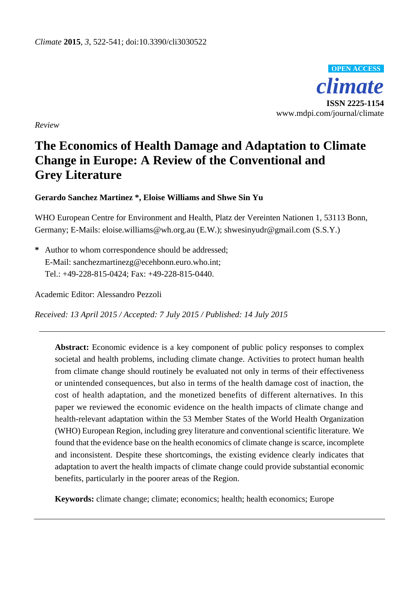

*Review*

# **The Economics of Health Damage and Adaptation to Climate Change in Europe: A Review of the Conventional and Grey Literature**

# **Gerardo Sanchez Martinez \*, Eloise Williams and Shwe Sin Yu**

WHO European Centre for Environment and Health, Platz der Vereinten Nationen 1, 53113 Bonn, Germany; E-Mails: eloise.williams@wh.org.au (E.W.); shwesinyudr@gmail.com (S.S.Y.)

**\*** Author to whom correspondence should be addressed; E-Mail: sanchezmartinezg@ecehbonn.euro.who.int; Tel.: +49-228-815-0424; Fax: +49-228-815-0440.

Academic Editor: Alessandro Pezzoli

*Received: 13 April 2015 / Accepted: 7 July 2015 / Published: 14 July 2015*

**Abstract:** Economic evidence is a key component of public policy responses to complex societal and health problems, including climate change. Activities to protect human health from climate change should routinely be evaluated not only in terms of their effectiveness or unintended consequences, but also in terms of the health damage cost of inaction, the cost of health adaptation, and the monetized benefits of different alternatives. In this paper we reviewed the economic evidence on the health impacts of climate change and health-relevant adaptation within the 53 Member States of the World Health Organization (WHO) European Region, including grey literature and conventional scientific literature. We found that the evidence base on the health economics of climate change is scarce, incomplete and inconsistent. Despite these shortcomings, the existing evidence clearly indicates that adaptation to avert the health impacts of climate change could provide substantial economic benefits, particularly in the poorer areas of the Region.

**Keywords:** climate change; climate; economics; health; health economics; Europe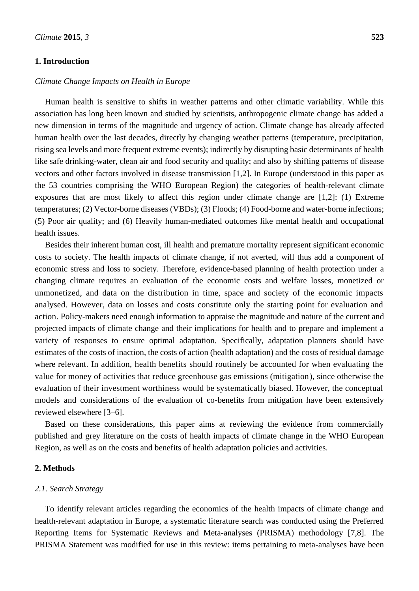## **1. Introduction**

### *Climate Change Impacts on Health in Europe*

Human health is sensitive to shifts in weather patterns and other climatic variability. While this association has long been known and studied by scientists, anthropogenic climate change has added a new dimension in terms of the magnitude and urgency of action. Climate change has already affected human health over the last decades, directly by changing weather patterns (temperature, precipitation, rising sea levels and more frequent extreme events); indirectly by disrupting basic determinants of health like safe drinking-water, clean air and food security and quality; and also by shifting patterns of disease vectors and other factors involved in disease transmission [1,2]. In Europe (understood in this paper as the 53 countries comprising the WHO European Region) the categories of health-relevant climate exposures that are most likely to affect this region under climate change are [1,2]: (1) Extreme temperatures; (2) Vector-borne diseases (VBDs); (3) Floods; (4) Food-borne and water-borne infections; (5) Poor air quality; and (6) Heavily human-mediated outcomes like mental health and occupational health issues.

Besides their inherent human cost, ill health and premature mortality represent significant economic costs to society. The health impacts of climate change, if not averted, will thus add a component of economic stress and loss to society. Therefore, evidence-based planning of health protection under a changing climate requires an evaluation of the economic costs and welfare losses, monetized or unmonetized, and data on the distribution in time, space and society of the economic impacts analysed. However, data on losses and costs constitute only the starting point for evaluation and action. Policy-makers need enough information to appraise the magnitude and nature of the current and projected impacts of climate change and their implications for health and to prepare and implement a variety of responses to ensure optimal adaptation. Specifically, adaptation planners should have estimates of the costs of inaction, the costs of action (health adaptation) and the costs of residual damage where relevant. In addition, health benefits should routinely be accounted for when evaluating the value for money of activities that reduce greenhouse gas emissions (mitigation), since otherwise the evaluation of their investment worthiness would be systematically biased. However, the conceptual models and considerations of the evaluation of co-benefits from mitigation have been extensively reviewed elsewhere [3–6].

Based on these considerations, this paper aims at reviewing the evidence from commercially published and grey literature on the costs of health impacts of climate change in the WHO European Region, as well as on the costs and benefits of health adaptation policies and activities.

# **2. Methods**

## *2.1. Search Strategy*

To identify relevant articles regarding the economics of the health impacts of climate change and health-relevant adaptation in Europe, a systematic literature search was conducted using the Preferred Reporting Items for Systematic Reviews and Meta-analyses (PRISMA) methodology [7,8]. The PRISMA Statement was modified for use in this review: items pertaining to meta-analyses have been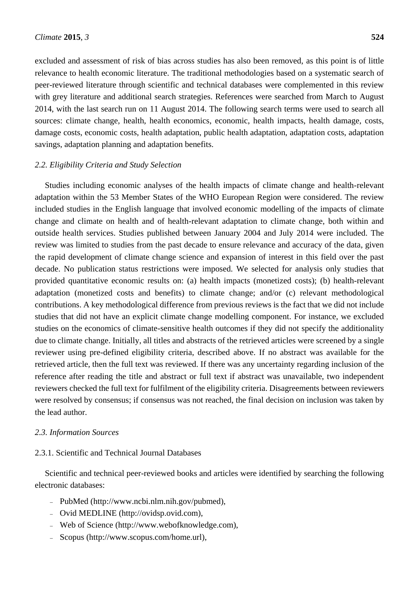excluded and assessment of risk of bias across studies has also been removed, as this point is of little relevance to health economic literature. The traditional methodologies based on a systematic search of peer-reviewed literature through scientific and technical databases were complemented in this review with grey literature and additional search strategies. References were searched from March to August 2014, with the last search run on 11 August 2014. The following search terms were used to search all sources: climate change, health, health economics, economic, health impacts, health damage, costs, damage costs, economic costs, health adaptation, public health adaptation, adaptation costs, adaptation savings, adaptation planning and adaptation benefits.

## *2.2. Eligibility Criteria and Study Selection*

Studies including economic analyses of the health impacts of climate change and health-relevant adaptation within the 53 Member States of the WHO European Region were considered. The review included studies in the English language that involved economic modelling of the impacts of climate change and climate on health and of health-relevant adaptation to climate change, both within and outside health services. Studies published between January 2004 and July 2014 were included. The review was limited to studies from the past decade to ensure relevance and accuracy of the data, given the rapid development of climate change science and expansion of interest in this field over the past decade. No publication status restrictions were imposed. We selected for analysis only studies that provided quantitative economic results on: (a) health impacts (monetized costs); (b) health-relevant adaptation (monetized costs and benefits) to climate change; and/or (c) relevant methodological contributions. A key methodological difference from previous reviews is the fact that we did not include studies that did not have an explicit climate change modelling component. For instance, we excluded studies on the economics of climate-sensitive health outcomes if they did not specify the additionality due to climate change. Initially, all titles and abstracts of the retrieved articles were screened by a single reviewer using pre-defined eligibility criteria, described above. If no abstract was available for the retrieved article, then the full text was reviewed. If there was any uncertainty regarding inclusion of the reference after reading the title and abstract or full text if abstract was unavailable, two independent reviewers checked the full text for fulfilment of the eligibility criteria. Disagreements between reviewers were resolved by consensus; if consensus was not reached, the final decision on inclusion was taken by the lead author.

## *2.3. Information Sources*

## 2.3.1. Scientific and Technical Journal Databases

Scientific and technical peer-reviewed books and articles were identified by searching the following electronic databases:

- PubMed (http://www.ncbi.nlm.nih.gov/pubmed),
- Ovid MEDLINE (http://ovidsp.ovid.com),
- Web of Science (http://www.webofknowledge.com),
- Scopus (http://www.scopus.com/home.url),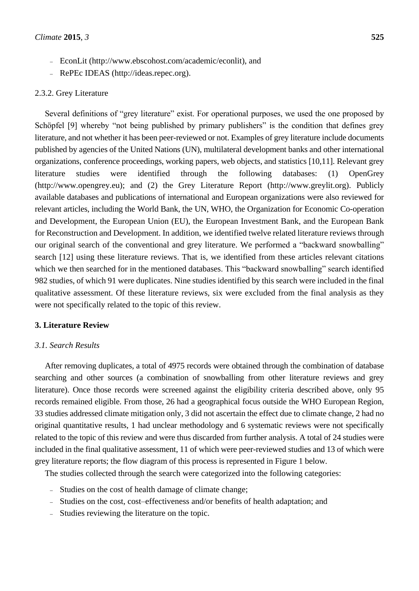- EconLit (http://www.ebscohost.com/academic/econlit), and
- RePEc IDEAS (http://ideas.repec.org).

#### 2.3.2. Grey Literature

Several definitions of "grey literature" exist. For operational purposes, we used the one proposed by Schöpfel [9] whereby "not being published by primary publishers" is the condition that defines grey literature, and not whether it has been peer-reviewed or not. Examples of grey literature include documents published by agencies of the United Nations (UN), multilateral development banks and other international organizations, conference proceedings, working papers, web objects, and statistics [10,11]. Relevant grey literature studies were identified through the following databases: (1) OpenGrey (http://www.opengrey.eu); and (2) the Grey Literature Report (http://www.greylit.org). Publicly available databases and publications of international and European organizations were also reviewed for relevant articles, including the World Bank, the UN, WHO, the Organization for Economic Co-operation and Development, the European Union (EU), the European Investment Bank, and the European Bank for Reconstruction and Development. In addition, we identified twelve related literature reviews through our original search of the conventional and grey literature. We performed a "backward snowballing" search [12] using these literature reviews. That is, we identified from these articles relevant citations which we then searched for in the mentioned databases. This "backward snowballing" search identified 982 studies, of which 91 were duplicates. Nine studies identified by this search were included in the final qualitative assessment. Of these literature reviews, six were excluded from the final analysis as they were not specifically related to the topic of this review.

# **3. Literature Review**

#### *3.1. Search Results*

After removing duplicates, a total of 4975 records were obtained through the combination of database searching and other sources (a combination of snowballing from other literature reviews and grey literature). Once those records were screened against the eligibility criteria described above, only 95 records remained eligible. From those, 26 had a geographical focus outside the WHO European Region, 33 studies addressed climate mitigation only, 3 did not ascertain the effect due to climate change, 2 had no original quantitative results, 1 had unclear methodology and 6 systematic reviews were not specifically related to the topic of this review and were thus discarded from further analysis. A total of 24 studies were included in the final qualitative assessment, 11 of which were peer-reviewed studies and 13 of which were grey literature reports; the flow diagram of this process is represented in Figure 1 below.

The studies collected through the search were categorized into the following categories:

- Studies on the cost of health damage of climate change;
- Studies on the cost, cost–effectiveness and/or benefits of health adaptation; and
- Studies reviewing the literature on the topic.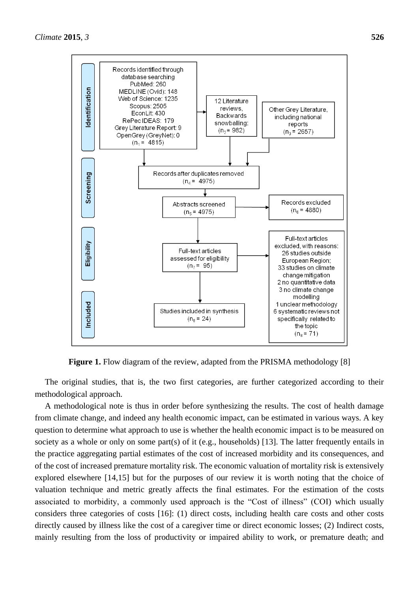

**Figure 1.** Flow diagram of the review, adapted from the PRISMA methodology [8]

The original studies, that is, the two first categories, are further categorized according to their methodological approach.

A methodological note is thus in order before synthesizing the results. The cost of health damage from climate change, and indeed any health economic impact, can be estimated in various ways. A key question to determine what approach to use is whether the health economic impact is to be measured on society as a whole or only on some part(s) of it (e.g., households) [13]. The latter frequently entails in the practice aggregating partial estimates of the cost of increased morbidity and its consequences, and of the cost of increased premature mortality risk. The economic valuation of mortality risk is extensively explored elsewhere [14,15] but for the purposes of our review it is worth noting that the choice of valuation technique and metric greatly affects the final estimates. For the estimation of the costs associated to morbidity, a commonly used approach is the "Cost of illness" (COI) which usually considers three categories of costs [16]: (1) direct costs, including health care costs and other costs directly caused by illness like the cost of a caregiver time or direct economic losses; (2) Indirect costs, mainly resulting from the loss of productivity or impaired ability to work, or premature death; and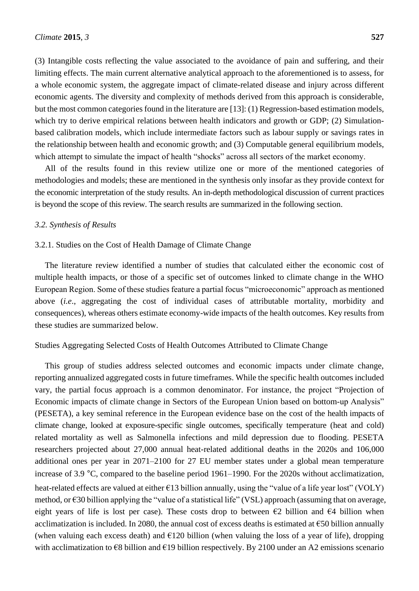(3) Intangible costs reflecting the value associated to the avoidance of pain and suffering, and their limiting effects. The main current alternative analytical approach to the aforementioned is to assess, for a whole economic system, the aggregate impact of climate-related disease and injury across different economic agents. The diversity and complexity of methods derived from this approach is considerable, but the most common categories found in the literature are [13]: (1) Regression-based estimation models, which try to derive empirical relations between health indicators and growth or GDP; (2) Simulationbased calibration models, which include intermediate factors such as labour supply or savings rates in the relationship between health and economic growth; and (3) Computable general equilibrium models, which attempt to simulate the impact of health "shocks" across all sectors of the market economy.

All of the results found in this review utilize one or more of the mentioned categories of methodologies and models; these are mentioned in the synthesis only insofar as they provide context for the economic interpretation of the study results. An in-depth methodological discussion of current practices is beyond the scope of this review. The search results are summarized in the following section.

#### *3.2. Synthesis of Results*

#### 3.2.1. Studies on the Cost of Health Damage of Climate Change

The literature review identified a number of studies that calculated either the economic cost of multiple health impacts, or those of a specific set of outcomes linked to climate change in the WHO European Region. Some of these studies feature a partial focus "microeconomic" approach as mentioned above (*i.e*., aggregating the cost of individual cases of attributable mortality, morbidity and consequences), whereas others estimate economy-wide impacts of the health outcomes. Key results from these studies are summarized below.

## Studies Aggregating Selected Costs of Health Outcomes Attributed to Climate Change

This group of studies address selected outcomes and economic impacts under climate change, reporting annualized aggregated costs in future timeframes. While the specific health outcomes included vary, the partial focus approach is a common denominator. For instance, the project "Projection of Economic impacts of climate change in Sectors of the European Union based on bottom-up Analysis" (PESETA), a key seminal reference in the European evidence base on the cost of the health impacts of climate change, looked at exposure-specific single outcomes, specifically temperature (heat and cold) related mortality as well as Salmonella infections and mild depression due to flooding. PESETA researchers projected about 27,000 annual heat-related additional deaths in the 2020s and 106,000 additional ones per year in 2071–2100 for 27 EU member states under a global mean temperature increase of 3.9 °C, compared to the baseline period 1961–1990. For the 2020s without acclimatization, heat-related effects are valued at either  $\epsilon$ 13 billion annually, using the "value of a life year lost" (VOLY) method, or €30 billion applying the "value of a statistical life" (VSL) approach (assuming that on average, eight years of life is lost per case). These costs drop to between  $\epsilon$ 2 billion and  $\epsilon$ 4 billion when acclimatization is included. In 2080, the annual cost of excess deaths is estimated at  $\epsilon$ 50 billion annually (when valuing each excess death) and  $E120$  billion (when valuing the loss of a year of life), dropping with acclimatization to  $\epsilon$ 8 billion and  $\epsilon$ 19 billion respectively. By 2100 under an A2 emissions scenario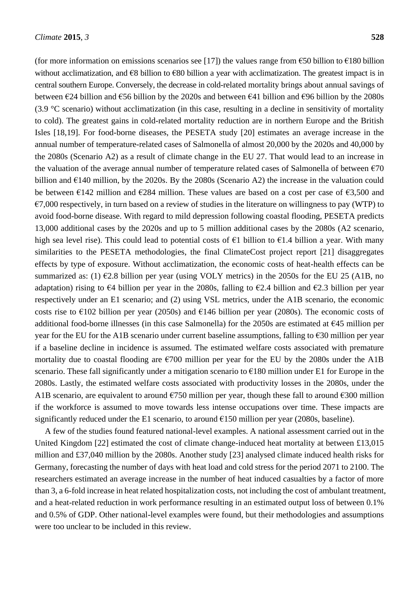(for more information on emissions scenarios see [17]) the values range from  $\epsilon$ 50 billion to  $\epsilon$ 180 billion without acclimatization, and €8 billion to €80 billion a year with acclimatization. The greatest impact is in central southern Europe. Conversely, the decrease in cold-related mortality brings about annual savings of between €24 billion and €56 billion by the 2020s and between €41 billion and €96 billion by the 2080s (3.9  $\mathcal C$  scenario) without acclimatization (in this case, resulting in a decline in sensitivity of mortality to cold). The greatest gains in cold-related mortality reduction are in northern Europe and the British Isles [18,19]. For food-borne diseases, the PESETA study [20] estimates an average increase in the annual number of temperature-related cases of Salmonella of almost 20,000 by the 2020s and 40,000 by the 2080s (Scenario A2) as a result of climate change in the EU 27. That would lead to an increase in the valuation of the average annual number of temperature related cases of Salmonella of between  $\epsilon$ 70 billion and  $E140$  million, by the 2020s. By the 2080s (Scenario A2) the increase in the valuation could be between  $\epsilon$ 142 million and  $\epsilon$ 284 million. These values are based on a cost per case of  $\epsilon$ 3,500 and  $\epsilon$ 7,000 respectively, in turn based on a review of studies in the literature on willingness to pay (WTP) to avoid food-borne disease. With regard to mild depression following coastal flooding, PESETA predicts 13,000 additional cases by the 2020s and up to 5 million additional cases by the 2080s (A2 scenario, high sea level rise). This could lead to potential costs of  $\epsilon$ 1 billion to  $\epsilon$ 1.4 billion a year. With many similarities to the PESETA methodologies, the final ClimateCost project report [21] disaggregates effects by type of exposure. Without acclimatization, the economic costs of heat-health effects can be summarized as: (1)  $\epsilon$ 2.8 billion per year (using VOLY metrics) in the 2050s for the EU 25 (A1B, no adaptation) rising to  $\epsilon$ 4 billion per year in the 2080s, falling to  $\epsilon$ 2.4 billion and  $\epsilon$ 2.3 billion per year respectively under an E1 scenario; and (2) using VSL metrics, under the A1B scenario, the economic costs rise to  $\epsilon$ 102 billion per year (2050s) and  $\epsilon$ 146 billion per year (2080s). The economic costs of additional food-borne illnesses (in this case Salmonella) for the 2050s are estimated at €45 million per year for the EU for the A1B scenario under current baseline assumptions, falling to  $\epsilon$ 30 million per year if a baseline decline in incidence is assumed. The estimated welfare costs associated with premature mortality due to coastal flooding are  $\epsilon$ 700 million per year for the EU by the 2080s under the A1B scenario. These fall significantly under a mitigation scenario to €180 million under E1 for Europe in the 2080s. Lastly, the estimated welfare costs associated with productivity losses in the 2080s, under the A1B scenario, are equivalent to around  $\epsilon$ 750 million per year, though these fall to around  $\epsilon$ 300 million if the workforce is assumed to move towards less intense occupations over time. These impacts are significantly reduced under the E1 scenario, to around  $\epsilon$ 150 million per year (2080s, baseline).

A few of the studies found featured national-level examples. A national assessment carried out in the United Kingdom [22] estimated the cost of climate change-induced heat mortality at between £13,015 million and £37,040 million by the 2080s. Another study [23] analysed climate induced health risks for Germany, forecasting the number of days with heat load and cold stress for the period 2071 to 2100. The researchers estimated an average increase in the number of heat induced casualties by a factor of more than 3, a 6-fold increase in heat related hospitalization costs, not including the cost of ambulant treatment, and a heat-related reduction in work performance resulting in an estimated output loss of between 0.1% and 0.5% of GDP. Other national-level examples were found, but their methodologies and assumptions were too unclear to be included in this review.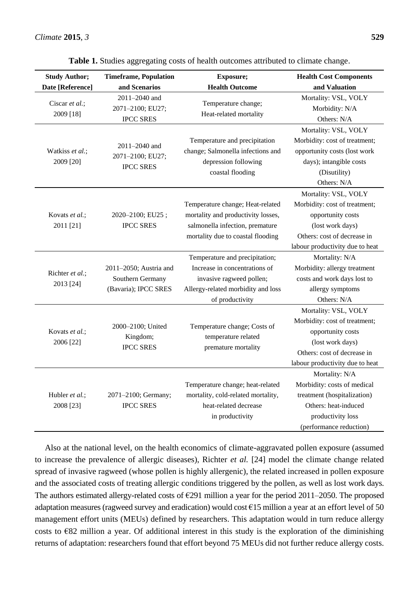| <b>Study Author;</b>        | <b>Timeframe, Population</b>                                       | Exposure;                                                       | <b>Health Cost Components</b>   |
|-----------------------------|--------------------------------------------------------------------|-----------------------------------------------------------------|---------------------------------|
| Date [Reference]            | and Scenarios                                                      | <b>Health Outcome</b>                                           | and Valuation                   |
| Ciscar et al.;<br>2009 [18] | 2011-2040 and                                                      | Temperature change;                                             | Mortality: VSL, VOLY            |
|                             | 2071-2100; EU27;                                                   | Heat-related mortality                                          | Morbidity: N/A                  |
|                             | <b>IPCC SRES</b>                                                   |                                                                 | Others: N/A                     |
|                             | 2011-2040 and<br>2071-2100; EU27;                                  | Temperature and precipitation                                   | Mortality: VSL, VOLY            |
|                             |                                                                    |                                                                 | Morbidity: cost of treatment;   |
| Watkiss et al.;             |                                                                    | change; Salmonella infections and                               | opportunity costs (lost work    |
| 2009 [20]                   | <b>IPCC SRES</b>                                                   | depression following                                            | days); intangible costs         |
|                             |                                                                    | coastal flooding                                                | (Disutility)                    |
|                             |                                                                    |                                                                 | Others: N/A                     |
|                             |                                                                    |                                                                 | Mortality: VSL, VOLY            |
|                             |                                                                    | Temperature change; Heat-related                                | Morbidity: cost of treatment;   |
| Kovats et al.;              | 2020-2100; EU25;                                                   | mortality and productivity losses,                              | opportunity costs               |
| 2011 [21]                   | <b>IPCC SRES</b>                                                   | salmonella infection, premature                                 | (lost work days)                |
|                             |                                                                    | mortality due to coastal flooding                               | Others: cost of decrease in     |
|                             |                                                                    |                                                                 | labour productivity due to heat |
|                             | 2011-2050; Austria and<br>Southern Germany<br>(Bavaria); IPCC SRES | Temperature and precipitation;<br>Increase in concentrations of | Mortality: N/A                  |
| Richter et al.;             |                                                                    |                                                                 | Morbidity: allergy treatment    |
| 2013 [24]                   |                                                                    | invasive ragweed pollen;                                        | costs and work days lost to     |
|                             |                                                                    | Allergy-related morbidity and loss                              | allergy symptoms                |
|                             |                                                                    | of productivity                                                 | Others: N/A                     |
| Kovats et al.;              | 2000-2100; United<br>Kingdom;<br><b>IPCC SRES</b>                  | Temperature change; Costs of<br>temperature related             | Mortality: VSL, VOLY            |
|                             |                                                                    |                                                                 | Morbidity: cost of treatment;   |
|                             |                                                                    |                                                                 | opportunity costs               |
| 2006 [22]                   |                                                                    | premature mortality                                             | (lost work days)                |
|                             |                                                                    |                                                                 | Others: cost of decrease in     |
|                             |                                                                    |                                                                 | labour productivity due to heat |
| Hubler et al.;<br>2008 [23] | 2071-2100; Germany;<br><b>IPCC SRES</b>                            |                                                                 | Mortality: N/A                  |
|                             |                                                                    | Temperature change; heat-related                                | Morbidity: costs of medical     |
|                             |                                                                    | mortality, cold-related mortality,                              | treatment (hospitalization)     |
|                             |                                                                    | heat-related decrease                                           | Others: heat-induced            |
|                             |                                                                    | in productivity                                                 | productivity loss               |
|                             |                                                                    |                                                                 | (performance reduction)         |

**Table 1.** Studies aggregating costs of health outcomes attributed to climate change.

Also at the national level, on the health economics of climate-aggravated pollen exposure (assumed to increase the prevalence of allergic diseases), Richter *et al.* [24] model the climate change related spread of invasive ragweed (whose pollen is highly allergenic), the related increased in pollen exposure and the associated costs of treating allergic conditions triggered by the pollen, as well as lost work days. The authors estimated allergy-related costs of  $E291$  million a year for the period 2011–2050. The proposed adaptation measures (ragweed survey and eradication) would cost €15 million a year at an effort level of 50 management effort units (MEUs) defined by researchers. This adaptation would in turn reduce allergy costs to  $E$ 82 million a year. Of additional interest in this study is the exploration of the diminishing returns of adaptation: researchers found that effort beyond 75 MEUs did not further reduce allergy costs.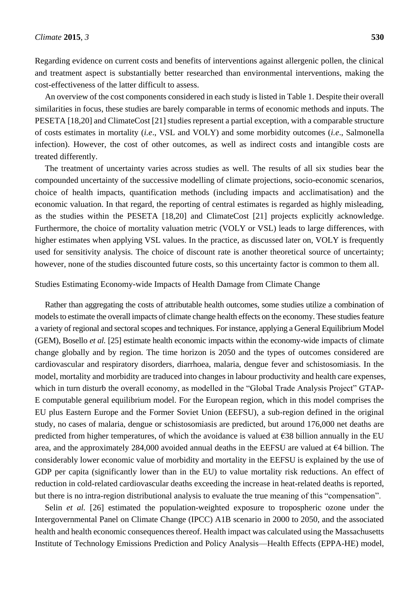Regarding evidence on current costs and benefits of interventions against allergenic pollen, the clinical and treatment aspect is substantially better researched than environmental interventions, making the cost-effectiveness of the latter difficult to assess.

An overview of the cost components considered in each study is listed in Table 1. Despite their overall similarities in focus, these studies are barely comparable in terms of economic methods and inputs. The PESETA [18,20] and ClimateCost [21] studies represent a partial exception, with a comparable structure of costs estimates in mortality (*i.e*., VSL and VOLY) and some morbidity outcomes (*i.e*., Salmonella infection). However, the cost of other outcomes, as well as indirect costs and intangible costs are treated differently.

The treatment of uncertainty varies across studies as well. The results of all six studies bear the compounded uncertainty of the successive modelling of climate projections, socio-economic scenarios, choice of health impacts, quantification methods (including impacts and acclimatisation) and the economic valuation. In that regard, the reporting of central estimates is regarded as highly misleading, as the studies within the PESETA [18,20] and ClimateCost [21] projects explicitly acknowledge. Furthermore, the choice of mortality valuation metric (VOLY or VSL) leads to large differences, with higher estimates when applying VSL values. In the practice, as discussed later on, VOLY is frequently used for sensitivity analysis. The choice of discount rate is another theoretical source of uncertainty; however, none of the studies discounted future costs, so this uncertainty factor is common to them all.

#### Studies Estimating Economy-wide Impacts of Health Damage from Climate Change

Rather than aggregating the costs of attributable health outcomes, some studies utilize a combination of models to estimate the overall impacts of climate change health effects on the economy. These studies feature a variety of regional and sectoral scopes and techniques. For instance, applying a General Equilibrium Model (GEM), Bosello *et al.* [25] estimate health economic impacts within the economy-wide impacts of climate change globally and by region. The time horizon is 2050 and the types of outcomes considered are cardiovascular and respiratory disorders, diarrhoea, malaria, dengue fever and schistosomiasis. In the model, mortality and morbidity are traduced into changes in labour productivity and health care expenses, which in turn disturb the overall economy, as modelled in the "Global Trade Analysis Project" GTAP-E computable general equilibrium model. For the European region, which in this model comprises the EU plus Eastern Europe and the Former Soviet Union (EEFSU), a sub-region defined in the original study, no cases of malaria, dengue or schistosomiasis are predicted, but around 176,000 net deaths are predicted from higher temperatures, of which the avoidance is valued at  $\epsilon$ 38 billion annually in the EU area, and the approximately 284,000 avoided annual deaths in the EEFSU are valued at €4 billion. The considerably lower economic value of morbidity and mortality in the EEFSU is explained by the use of GDP per capita (significantly lower than in the EU) to value mortality risk reductions. An effect of reduction in cold-related cardiovascular deaths exceeding the increase in heat-related deaths is reported, but there is no intra-region distributional analysis to evaluate the true meaning of this "compensation".

Selin *et al.* [26] estimated the population-weighted exposure to tropospheric ozone under the Intergovernmental Panel on Climate Change (IPCC) A1B scenario in 2000 to 2050, and the associated health and health economic consequences thereof. Health impact was calculated using the Massachusetts Institute of Technology Emissions Prediction and Policy Analysis—Health Effects (EPPA-HE) model,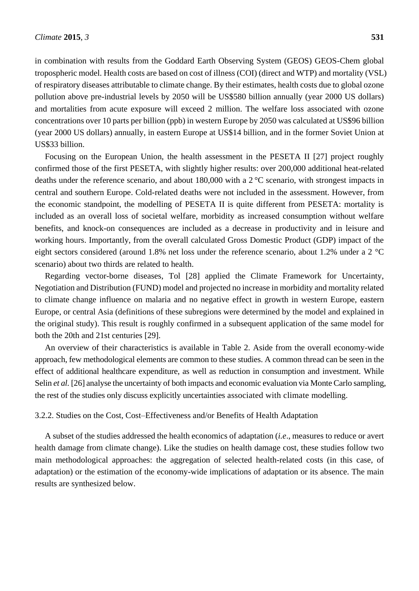in combination with results from the Goddard Earth Observing System (GEOS) GEOS-Chem global tropospheric model. Health costs are based on cost of illness (COI) (direct and WTP) and mortality (VSL) of respiratory diseases attributable to climate change. By their estimates, health costs due to global ozone pollution above pre-industrial levels by 2050 will be US\$580 billion annually (year 2000 US dollars) and mortalities from acute exposure will exceed 2 million. The welfare loss associated with ozone concentrations over 10 parts per billion (ppb) in western Europe by 2050 was calculated at US\$96 billion (year 2000 US dollars) annually, in eastern Europe at US\$14 billion, and in the former Soviet Union at US\$33 billion.

Focusing on the European Union, the health assessment in the PESETA II [27] project roughly confirmed those of the first PESETA, with slightly higher results: over 200,000 additional heat-related deaths under the reference scenario, and about 180,000 with a 2  $\mathcal C$  scenario, with strongest impacts in central and southern Europe. Cold-related deaths were not included in the assessment. However, from the economic standpoint, the modelling of PESETA II is quite different from PESETA: mortality is included as an overall loss of societal welfare, morbidity as increased consumption without welfare benefits, and knock-on consequences are included as a decrease in productivity and in leisure and working hours. Importantly, from the overall calculated Gross Domestic Product (GDP) impact of the eight sectors considered (around 1.8% net loss under the reference scenario, about 1.2% under a 2 °C scenario) about two thirds are related to health.

Regarding vector-borne diseases, Tol [28] applied the Climate Framework for Uncertainty, Negotiation and Distribution (FUND) model and projected no increase in morbidity and mortality related to climate change influence on malaria and no negative effect in growth in western Europe, eastern Europe, or central Asia (definitions of these subregions were determined by the model and explained in the original study). This result is roughly confirmed in a subsequent application of the same model for both the 20th and 21st centuries [29].

An overview of their characteristics is available in Table 2. Aside from the overall economy-wide approach, few methodological elements are common to these studies. A common thread can be seen in the effect of additional healthcare expenditure, as well as reduction in consumption and investment. While Selin *et al.* [26] analyse the uncertainty of both impacts and economic evaluation via Monte Carlo sampling, the rest of the studies only discuss explicitly uncertainties associated with climate modelling.

# 3.2.2. Studies on the Cost, Cost–Effectiveness and/or Benefits of Health Adaptation

A subset of the studies addressed the health economics of adaptation (*i.e*., measures to reduce or avert health damage from climate change). Like the studies on health damage cost, these studies follow two main methodological approaches: the aggregation of selected health-related costs (in this case, of adaptation) or the estimation of the economy-wide implications of adaptation or its absence. The main results are synthesized below.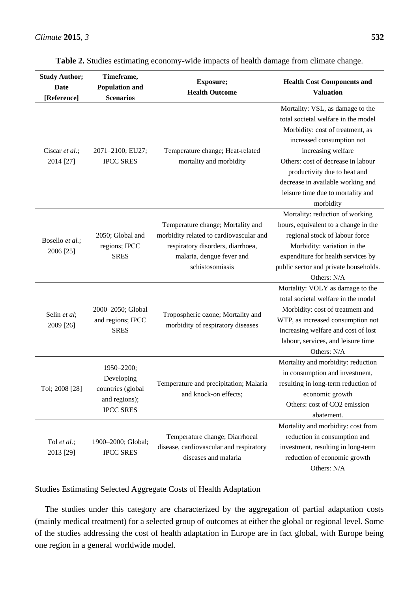| <b>Study Author;</b><br>Date<br>[Reference] | Timeframe,<br><b>Population and</b><br><b>Scenarios</b>                            | Exposure;<br><b>Health Outcome</b>                                                                                                                                | <b>Health Cost Components and</b><br><b>Valuation</b>                                                                                                                                                                                                                                                                       |
|---------------------------------------------|------------------------------------------------------------------------------------|-------------------------------------------------------------------------------------------------------------------------------------------------------------------|-----------------------------------------------------------------------------------------------------------------------------------------------------------------------------------------------------------------------------------------------------------------------------------------------------------------------------|
| Ciscar et al.;<br>2014 [27]                 | 2071-2100; EU27;<br><b>IPCC SRES</b>                                               | Temperature change; Heat-related<br>mortality and morbidity                                                                                                       | Mortality: VSL, as damage to the<br>total societal welfare in the model<br>Morbidity: cost of treatment, as<br>increased consumption not<br>increasing welfare<br>Others: cost of decrease in labour<br>productivity due to heat and<br>decrease in available working and<br>leisure time due to mortality and<br>morbidity |
| Bosello et al.;<br>2006 [25]                | 2050; Global and<br>regions; IPCC<br><b>SRES</b>                                   | Temperature change; Mortality and<br>morbidity related to cardiovascular and<br>respiratory disorders, diarrhoea,<br>malaria, dengue fever and<br>schistosomiasis | Mortality: reduction of working<br>hours, equivalent to a change in the<br>regional stock of labour force<br>Morbidity: variation in the<br>expenditure for health services by<br>public sector and private households.<br>Others: N/A                                                                                      |
| Selin et al;<br>2009 [26]                   | 2000-2050; Global<br>and regions; IPCC<br><b>SRES</b>                              | Tropospheric ozone; Mortality and<br>morbidity of respiratory diseases                                                                                            | Mortality: VOLY as damage to the<br>total societal welfare in the model<br>Morbidity: cost of treatment and<br>WTP, as increased consumption not<br>increasing welfare and cost of lost<br>labour, services, and leisure time<br>Others: N/A                                                                                |
| Tol; 2008 [28]                              | 1950-2200;<br>Developing<br>countries (global<br>and regions);<br><b>IPCC SRES</b> | Temperature and precipitation; Malaria<br>and knock-on effects;                                                                                                   | Mortality and morbidity: reduction<br>in consumption and investment,<br>resulting in long-term reduction of<br>economic growth<br>Others: cost of CO2 emission<br>abatement.                                                                                                                                                |
| Tol et al.;<br>2013 [29]                    | 1900-2000; Global;<br><b>IPCC SRES</b>                                             | Temperature change; Diarrhoeal<br>disease, cardiovascular and respiratory<br>diseases and malaria                                                                 | Mortality and morbidity: cost from<br>reduction in consumption and<br>investment, resulting in long-term<br>reduction of economic growth<br>Others: N/A                                                                                                                                                                     |

|  | Table 2. Studies estimating economy-wide impacts of health damage from climate change. |  |
|--|----------------------------------------------------------------------------------------|--|
|  |                                                                                        |  |

Studies Estimating Selected Aggregate Costs of Health Adaptation

The studies under this category are characterized by the aggregation of partial adaptation costs (mainly medical treatment) for a selected group of outcomes at either the global or regional level. Some of the studies addressing the cost of health adaptation in Europe are in fact global, with Europe being one region in a general worldwide model.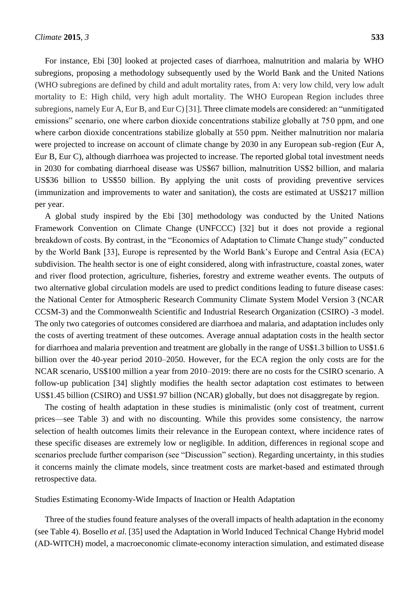For instance, Ebi [30] looked at projected cases of diarrhoea, malnutrition and malaria by WHO subregions, proposing a methodology subsequently used by the World Bank and the United Nations (WHO subregions are defined by child and adult mortality rates, from A: very low child, very low adult mortality to E: High child, very high adult mortality. The WHO European Region includes three subregions, namely Eur A, Eur B, and Eur C) [31]. Three climate models are considered: an "unmitigated emissions" scenario, one where carbon dioxide concentrations stabilize globally at 750 ppm, and one where carbon dioxide concentrations stabilize globally at 550 ppm. Neither malnutrition nor malaria were projected to increase on account of climate change by 2030 in any European sub-region (Eur A, Eur B, Eur C), although diarrhoea was projected to increase. The reported global total investment needs in 2030 for combating diarrhoeal disease was US\$67 billion, malnutrition US\$2 billion, and malaria US\$36 billion to US\$50 billion. By applying the unit costs of providing preventive services (immunization and improvements to water and sanitation), the costs are estimated at US\$217 million per year.

A global study inspired by the Ebi [30] methodology was conducted by the United Nations Framework Convention on Climate Change (UNFCCC) [32] but it does not provide a regional breakdown of costs. By contrast, in the "Economics of Adaptation to Climate Change study" conducted by the World Bank [33], Europe is represented by the World Bank's Europe and Central Asia (ECA) subdivision. The health sector is one of eight considered, along with infrastructure, coastal zones, water and river flood protection, agriculture, fisheries, forestry and extreme weather events. The outputs of two alternative global circulation models are used to predict conditions leading to future disease cases: the National Center for Atmospheric Research Community Climate System Model Version 3 (NCAR CCSM-3) and the Commonwealth Scientific and Industrial Research Organization (CSIRO) -3 model. The only two categories of outcomes considered are diarrhoea and malaria, and adaptation includes only the costs of averting treatment of these outcomes. Average annual adaptation costs in the health sector for diarrhoea and malaria prevention and treatment are globally in the range of US\$1.3 billion to US\$1.6 billion over the 40-year period 2010–2050. However, for the ECA region the only costs are for the NCAR scenario, US\$100 million a year from 2010–2019: there are no costs for the CSIRO scenario. A follow-up publication [34] slightly modifies the health sector adaptation cost estimates to between US\$1.45 billion (CSIRO) and US\$1.97 billion (NCAR) globally, but does not disaggregate by region.

The costing of health adaptation in these studies is minimalistic (only cost of treatment, current prices—see Table 3) and with no discounting. While this provides some consistency, the narrow selection of health outcomes limits their relevance in the European context, where incidence rates of these specific diseases are extremely low or negligible. In addition, differences in regional scope and scenarios preclude further comparison (see "Discussion" section). Regarding uncertainty, in this studies it concerns mainly the climate models, since treatment costs are market-based and estimated through retrospective data.

Studies Estimating Economy-Wide Impacts of Inaction or Health Adaptation

Three of the studies found feature analyses of the overall impacts of health adaptation in the economy (see Table 4). Bosello *et al.* [35] used the Adaptation in World Induced Technical Change Hybrid model (AD-WITCH) model, a macroeconomic climate-economy interaction simulation, and estimated disease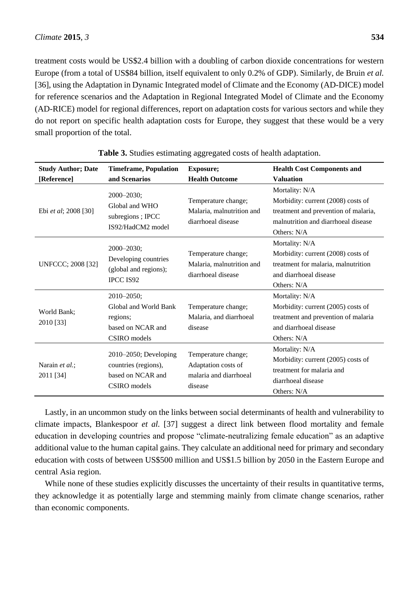treatment costs would be US\$2.4 billion with a doubling of carbon dioxide concentrations for western Europe (from a total of US\$84 billion, itself equivalent to only 0.2% of GDP). Similarly, de Bruin *et al.* [36], using the Adaptation in Dynamic Integrated model of Climate and the Economy (AD-DICE) model for reference scenarios and the Adaptation in Regional Integrated Model of Climate and the Economy (AD-RICE) model for regional differences, report on adaptation costs for various sectors and while they do not report on specific health adaptation costs for Europe, they suggest that these would be a very small proportion of the total.

| <b>Study Author; Date</b><br>[Reference] | <b>Timeframe, Population</b><br>and Scenarios                                             | <b>Exposure;</b><br><b>Health Outcome</b>                                       | <b>Health Cost Components and</b><br><b>Valuation</b>                                                                                              |
|------------------------------------------|-------------------------------------------------------------------------------------------|---------------------------------------------------------------------------------|----------------------------------------------------------------------------------------------------------------------------------------------------|
| Ebi et al; 2008 [30]                     | $2000 - 2030$ ;<br>Global and WHO<br>subregions; IPCC<br>IS92/HadCM2 model                | Temperature change;<br>Malaria, malnutrition and<br>diarrhoeal disease          | Mortality: N/A<br>Morbidity: current (2008) costs of<br>treatment and prevention of malaria,<br>malnutrition and diarrhoeal disease<br>Others: N/A |
| <b>UNFCCC; 2008 [32]</b>                 | $2000 - 2030$ ;<br>Developing countries<br>(global and regions);<br><b>IPCC IS92</b>      | Temperature change;<br>Malaria, malnutrition and<br>diarrhoeal disease          | Mortality: N/A<br>Morbidity: current (2008) costs of<br>treatment for malaria, malnutrition<br>and diarrhoeal disease<br>Others: N/A               |
| World Bank;<br>2010 [33]                 | $2010 - 2050$ ;<br>Global and World Bank<br>regions;<br>based on NCAR and<br>CSIRO models | Temperature change;<br>Malaria, and diarrhoeal<br>disease                       | Mortality: N/A<br>Morbidity: current (2005) costs of<br>treatment and prevention of malaria<br>and diarrhoeal disease<br>Others: N/A               |
| Narain et al.;<br>2011 [34]              | $2010-2050$ ; Developing<br>countries (regions),<br>based on NCAR and<br>CSIRO models     | Temperature change;<br>Adaptation costs of<br>malaria and diarrhoeal<br>disease | Mortality: N/A<br>Morbidity: current (2005) costs of<br>treatment for malaria and<br>diarrhoeal disease<br>Others: $N/A$                           |

**Table 3.** Studies estimating aggregated costs of health adaptation.

Lastly, in an uncommon study on the links between social determinants of health and vulnerability to climate impacts, Blankespoor *et al.* [37] suggest a direct link between flood mortality and female education in developing countries and propose "climate-neutralizing female education" as an adaptive additional value to the human capital gains. They calculate an additional need for primary and secondary education with costs of between US\$500 million and US\$1.5 billion by 2050 in the Eastern Europe and central Asia region.

While none of these studies explicitly discusses the uncertainty of their results in quantitative terms, they acknowledge it as potentially large and stemming mainly from climate change scenarios, rather than economic components.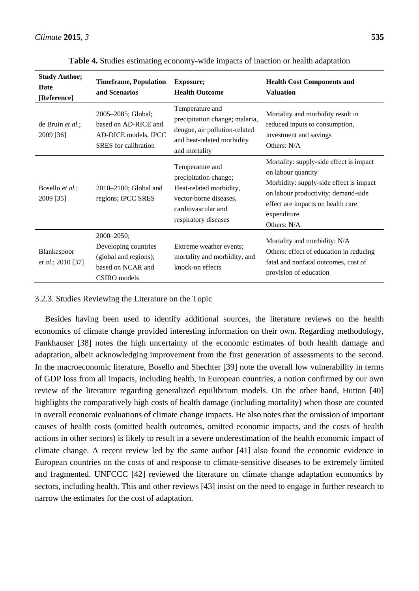| <b>Study Author;</b><br>Date<br>[Reference] | <b>Timeframe, Population</b><br>and Scenarios                                                     | <b>Exposure;</b><br><b>Health Outcome</b>                                                                                                   | <b>Health Cost Components and</b><br><b>Valuation</b>                                                                                                                                                              |
|---------------------------------------------|---------------------------------------------------------------------------------------------------|---------------------------------------------------------------------------------------------------------------------------------------------|--------------------------------------------------------------------------------------------------------------------------------------------------------------------------------------------------------------------|
| de Bruin et al.;<br>2009 [36]               | 2005-2085; Global;<br>based on AD-RICE and<br>AD-DICE models, IPCC<br><b>SRES</b> for calibration | Temperature and<br>precipitation change; malaria,<br>dengue, air pollution-related<br>and heat-related morbidity<br>and mortality           | Mortality and morbidity result in<br>reduced inputs to consumption,<br>investment and savings<br>Others: N/A                                                                                                       |
| Bosello <i>et al.</i> ;<br>2009 [35]        | $2010-2100$ ; Global and<br>regions; IPCC SRES                                                    | Temperature and<br>precipitation change;<br>Heat-related morbidity,<br>vector-borne diseases,<br>cardiovascular and<br>respiratory diseases | Mortality: supply-side effect is impact<br>on labour quantity<br>Morbidity: supply-side effect is impact<br>on labour productivity; demand-side<br>effect are impacts on health care<br>expenditure<br>Others: N/A |
| Blankespoor<br>et al.; 2010 [37]            | 2000-2050;<br>Developing countries<br>(global and regions);<br>based on NCAR and<br>CSIRO models  | Extreme weather events;<br>mortality and morbidity, and<br>knock-on effects                                                                 | Mortality and morbidity: N/A<br>Others: effect of education in reducing<br>fatal and nonfatal outcomes, cost of<br>provision of education                                                                          |

**Table 4.** Studies estimating economy-wide impacts of inaction or health adaptation

# 3.2.3. Studies Reviewing the Literature on the Topic

Besides having been used to identify additional sources, the literature reviews on the health economics of climate change provided interesting information on their own. Regarding methodology, Fankhauser [38] notes the high uncertainty of the economic estimates of both health damage and adaptation, albeit acknowledging improvement from the first generation of assessments to the second. In the macroeconomic literature, Bosello and Shechter [39] note the overall low vulnerability in terms of GDP loss from all impacts, including health, in European countries, a notion confirmed by our own review of the literature regarding generalized equilibrium models. On the other hand, Hutton [40] highlights the comparatively high costs of health damage (including mortality) when those are counted in overall economic evaluations of climate change impacts. He also notes that the omission of important causes of health costs (omitted health outcomes, omitted economic impacts, and the costs of health actions in other sectors) is likely to result in a severe underestimation of the health economic impact of climate change. A recent review led by the same author [41] also found the economic evidence in European countries on the costs of and response to climate-sensitive diseases to be extremely limited and fragmented. UNFCCC [42] reviewed the literature on climate change adaptation economics by sectors, including health. This and other reviews [43] insist on the need to engage in further research to narrow the estimates for the cost of adaptation.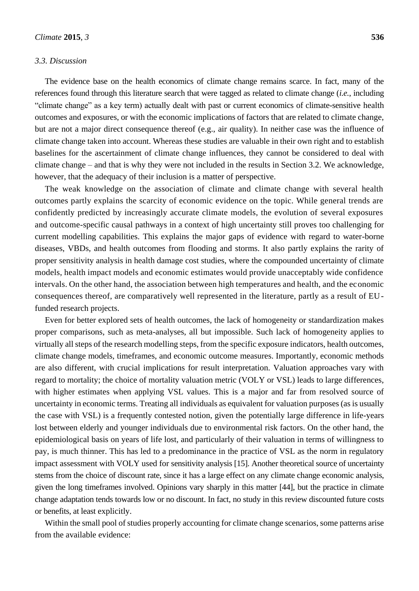## *3.3. Discussion*

The evidence base on the health economics of climate change remains scarce. In fact, many of the references found through this literature search that were tagged as related to climate change (*i.e.*, including "climate change" as a key term) actually dealt with past or current economics of climate-sensitive health outcomes and exposures, or with the economic implications of factors that are related to climate change, but are not a major direct consequence thereof (e.g., air quality). In neither case was the influence of climate change taken into account. Whereas these studies are valuable in their own right and to establish baselines for the ascertainment of climate change influences, they cannot be considered to deal with climate change – and that is why they were not included in the results in Section 3.2. We acknowledge, however, that the adequacy of their inclusion is a matter of perspective.

The weak knowledge on the association of climate and climate change with several health outcomes partly explains the scarcity of economic evidence on the topic. While general trends are confidently predicted by increasingly accurate climate models, the evolution of several exposures and outcome-specific causal pathways in a context of high uncertainty still proves too challenging for current modelling capabilities. This explains the major gaps of evidence with regard to water-borne diseases, VBDs, and health outcomes from flooding and storms. It also partly explains the rarity of proper sensitivity analysis in health damage cost studies, where the compounded uncertainty of climate models, health impact models and economic estimates would provide unacceptably wide confidence intervals. On the other hand, the association between high temperatures and health, and the economic consequences thereof, are comparatively well represented in the literature, partly as a result of EUfunded research projects.

Even for better explored sets of health outcomes, the lack of homogeneity or standardization makes proper comparisons, such as meta-analyses, all but impossible. Such lack of homogeneity applies to virtually all steps of the research modelling steps, from the specific exposure indicators, health outcomes, climate change models, timeframes, and economic outcome measures. Importantly, economic methods are also different, with crucial implications for result interpretation. Valuation approaches vary with regard to mortality; the choice of mortality valuation metric (VOLY or VSL) leads to large differences, with higher estimates when applying VSL values. This is a major and far from resolved source of uncertainty in economic terms. Treating all individuals as equivalent for valuation purposes (as is usually the case with VSL) is a frequently contested notion, given the potentially large difference in life-years lost between elderly and younger individuals due to environmental risk factors. On the other hand, the epidemiological basis on years of life lost, and particularly of their valuation in terms of willingness to pay, is much thinner. This has led to a predominance in the practice of VSL as the norm in regulatory impact assessment with VOLY used for sensitivity analysis [15]. Another theoretical source of uncertainty stems from the choice of discount rate, since it has a large effect on any climate change economic analysis, given the long timeframes involved. Opinions vary sharply in this matter [44], but the practice in climate change adaptation tends towards low or no discount. In fact, no study in this review discounted future costs or benefits, at least explicitly.

Within the small pool of studies properly accounting for climate change scenarios, some patterns arise from the available evidence: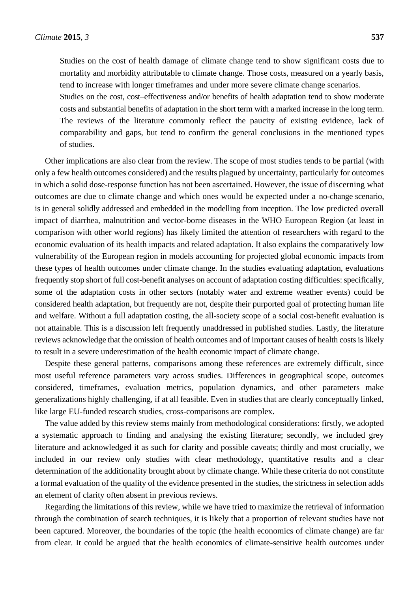- Studies on the cost of health damage of climate change tend to show significant costs due to mortality and morbidity attributable to climate change. Those costs, measured on a yearly basis, tend to increase with longer timeframes and under more severe climate change scenarios.
- Studies on the cost, cost–effectiveness and/or benefits of health adaptation tend to show moderate costs and substantial benefits of adaptation in the short term with a marked increase in the long term.
- The reviews of the literature commonly reflect the paucity of existing evidence, lack of comparability and gaps, but tend to confirm the general conclusions in the mentioned types of studies.

Other implications are also clear from the review. The scope of most studies tends to be partial (with only a few health outcomes considered) and the results plagued by uncertainty, particularly for outcomes in which a solid dose-response function has not been ascertained. However, the issue of discerning what outcomes are due to climate change and which ones would be expected under a no-change scenario, is in general solidly addressed and embedded in the modelling from inception. The low predicted overall impact of diarrhea, malnutrition and vector-borne diseases in the WHO European Region (at least in comparison with other world regions) has likely limited the attention of researchers with regard to the economic evaluation of its health impacts and related adaptation. It also explains the comparatively low vulnerability of the European region in models accounting for projected global economic impacts from these types of health outcomes under climate change. In the studies evaluating adaptation, evaluations frequently stop short of full cost-benefit analyses on account of adaptation costing difficulties: specifically, some of the adaptation costs in other sectors (notably water and extreme weather events) could be considered health adaptation, but frequently are not, despite their purported goal of protecting human life and welfare. Without a full adaptation costing, the all-society scope of a social cost-benefit evaluation is not attainable. This is a discussion left frequently unaddressed in published studies. Lastly, the literature reviews acknowledge that the omission of health outcomes and of important causes of health costs is likely to result in a severe underestimation of the health economic impact of climate change.

Despite these general patterns, comparisons among these references are extremely difficult, since most useful reference parameters vary across studies. Differences in geographical scope, outcomes considered, timeframes, evaluation metrics, population dynamics, and other parameters make generalizations highly challenging, if at all feasible. Even in studies that are clearly conceptually linked, like large EU-funded research studies, cross-comparisons are complex.

The value added by this review stems mainly from methodological considerations: firstly, we adopted a systematic approach to finding and analysing the existing literature; secondly, we included grey literature and acknowledged it as such for clarity and possible caveats; thirdly and most crucially, we included in our review only studies with clear methodology, quantitative results and a clear determination of the additionality brought about by climate change. While these criteria do not constitute a formal evaluation of the quality of the evidence presented in the studies, the strictness in selection adds an element of clarity often absent in previous reviews.

Regarding the limitations of this review, while we have tried to maximize the retrieval of information through the combination of search techniques, it is likely that a proportion of relevant studies have not been captured. Moreover, the boundaries of the topic (the health economics of climate change) are far from clear. It could be argued that the health economics of climate-sensitive health outcomes under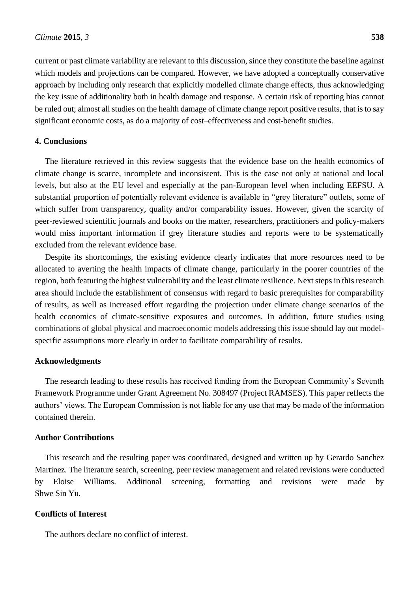current or past climate variability are relevant to this discussion, since they constitute the baseline against which models and projections can be compared. However, we have adopted a conceptually conservative approach by including only research that explicitly modelled climate change effects, thus acknowledging the key issue of additionality both in health damage and response. A certain risk of reporting bias cannot be ruled out; almost all studies on the health damage of climate change report positive results, that is to say significant economic costs, as do a majority of cost–effectiveness and cost-benefit studies.

# **4. Conclusions**

The literature retrieved in this review suggests that the evidence base on the health economics of climate change is scarce, incomplete and inconsistent. This is the case not only at national and local levels, but also at the EU level and especially at the pan-European level when including EEFSU. A substantial proportion of potentially relevant evidence is available in "grey literature" outlets, some of which suffer from transparency, quality and/or comparability issues. However, given the scarcity of peer-reviewed scientific journals and books on the matter, researchers, practitioners and policy-makers would miss important information if grey literature studies and reports were to be systematically excluded from the relevant evidence base.

Despite its shortcomings, the existing evidence clearly indicates that more resources need to be allocated to averting the health impacts of climate change, particularly in the poorer countries of the region, both featuring the highest vulnerability and the least climate resilience. Next steps in this research area should include the establishment of consensus with regard to basic prerequisites for comparability of results, as well as increased effort regarding the projection under climate change scenarios of the health economics of climate-sensitive exposures and outcomes. In addition, future studies using combinations of global physical and macroeconomic models addressing this issue should lay out modelspecific assumptions more clearly in order to facilitate comparability of results.

# **Acknowledgments**

The research leading to these results has received funding from the European Community's Seventh Framework Programme under Grant Agreement No. 308497 (Project RAMSES). This paper reflects the authors' views. The European Commission is not liable for any use that may be made of the information contained therein.

# **Author Contributions**

This research and the resulting paper was coordinated, designed and written up by Gerardo Sanchez Martinez. The literature search, screening, peer review management and related revisions were conducted by Eloise Williams. Additional screening, formatting and revisions were made by Shwe Sin Yu.

# **Conflicts of Interest**

The authors declare no conflict of interest.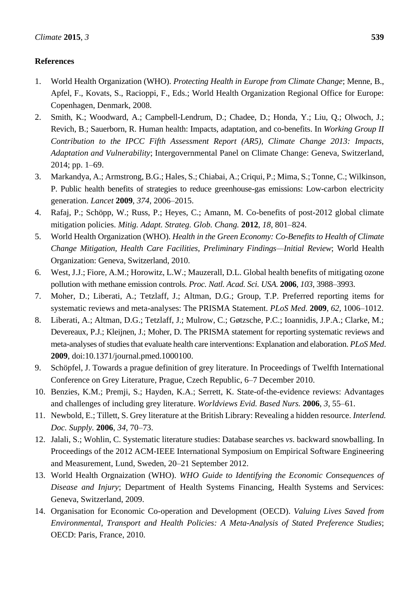# **References**

- 1. World Health Organization (WHO). *Protecting Health in Europe from Climate Change*; Menne, B., Apfel, F., Kovats, S., Racioppi, F., Eds.; World Health Organization Regional Office for Europe: Copenhagen, Denmark, 2008.
- 2. Smith, K.; Woodward, A.; Campbell-Lendrum, D.; Chadee, D.; Honda, Y.; Liu, Q.; Olwoch, J.; Revich, B.; Sauerborn, R. Human health: Impacts, adaptation, and co-benefits. In *Working Group II Contribution to the IPCC Fifth Assessment Report (AR5), Climate Change 2013: Impacts, Adaptation and Vulnerability*; Intergovernmental Panel on Climate Change: Geneva, Switzerland, 2014; pp. 1–69.
- 3. Markandya, A.; Armstrong, B.G.; Hales, S.; Chiabai, A.; Criqui, P.; Mima, S.; Tonne, C.; Wilkinson, P. Public health benefits of strategies to reduce greenhouse-gas emissions: Low-carbon electricity generation. *Lancet* **2009**, *374*, 2006–2015.
- 4. Rafaj, P.; Schöpp, W.; Russ, P.; Heyes, C.; Amann, M. Co-benefits of post-2012 global climate mitigation policies. *Mitig. Adapt. Strateg. Glob. Chang.* **2012**, *18*, 801–824.
- 5. World Health Organization (WHO). *Health in the Green Economy: Co-Benefits to Health of Climate Change Mitigation, Health Care Facilities, Preliminary Findings—Initial Review*; World Health Organization: Geneva, Switzerland, 2010.
- 6. West, J.J.; Fiore, A.M.; Horowitz, L.W.; Mauzerall, D.L. Global health benefits of mitigating ozone pollution with methane emission controls. *Proc. Natl. Acad. Sci. USA.* **2006**, *103*, 3988–3993.
- 7. Moher, D.; Liberati, A.; Tetzlaff, J.; Altman, D.G.; Group, T.P. Preferred reporting items for systematic reviews and meta-analyses: The PRISMA Statement. *PLoS Med.* **2009**, *62*, 1006–1012.
- 8. Liberati, A.; Altman, D.G.; Tetzlaff, J.; Mulrow, C.; Gøtzsche, P.C.; Ioannidis, J.P.A.; Clarke, M.; Devereaux, P.J.; Kleijnen, J.; Moher, D. The PRISMA statement for reporting systematic reviews and meta-analyses of studies that evaluate health care interventions: Explanation and elaboration. *PLoS Med*. **2009**, doi:10.1371/journal.pmed.1000100.
- 9. Schöpfel, J. Towards a prague definition of grey literature. In Proceedings of Twelfth International Conference on Grey Literature, Prague, Czech Republic, 6–7 December 2010.
- 10. Benzies, K.M.; Premji, S.; Hayden, K.A.; Serrett, K. State-of-the-evidence reviews: Advantages and challenges of including grey literature. *Worldviews Evid. Based Nurs.* **2006**, *3*, 55–61.
- 11. Newbold, E.; Tillett, S. Grey literature at the British Library: Revealing a hidden resource. *Interlend. Doc. Supply.* **2006**, *34*, 70–73.
- 12. Jalali, S.; Wohlin, C. Systematic literature studies: Database searches *vs.* backward snowballing. In Proceedings of the 2012 ACM-IEEE International Symposium on Empirical Software Engineering and Measurement, Lund, Sweden, 20–21 September 2012.
- 13. World Health Orgnaization (WHO). *WHO Guide to Identifying the Economic Consequences of Disease and Injury*; Department of Health Systems Financing, Health Systems and Services: Geneva, Switzerland, 2009.
- 14. Organisation for Economic Co-operation and Development (OECD). *Valuing Lives Saved from Environmental, Transport and Health Policies: A Meta-Analysis of Stated Preference Studies*; OECD: Paris, France, 2010.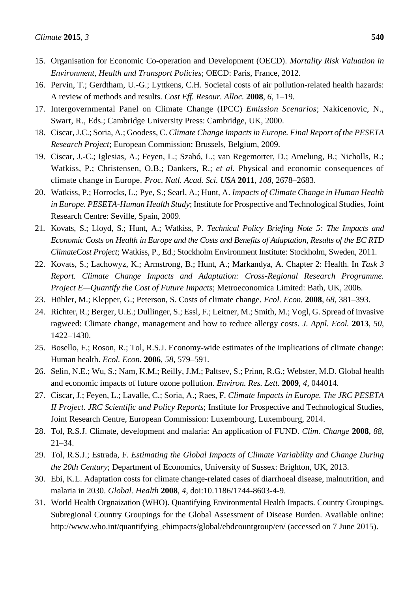- 15. Organisation for Economic Co-operation and Development (OECD). *Mortality Risk Valuation in Environment, Health and Transport Policies*; OECD: Paris, France, 2012.
- 16. Pervin, T.; Gerdtham, U.-G.; Lyttkens, C.H. Societal costs of air pollution-related health hazards: A review of methods and results. *Cost Eff. Resour. Alloc.* **2008**, *6*, 1–19.
- 17. Intergovernmental Panel on Climate Change (IPCC) *Emission Scenarios*; Nakicenovic, N., Swart, R., Eds.; Cambridge University Press: Cambridge, UK, 2000.
- 18. Ciscar, J.C.; Soria, A.; Goodess, C. *Climate Change Impacts in Europe. Final Report of the PESETA Research Project*; European Commission: Brussels, Belgium, 2009.
- 19. Ciscar, J.-C.; Iglesias, A.; Feyen, L.; Szabó, L.; van Regemorter, D.; Amelung, B.; Nicholls, R.; Watkiss, P.; Christensen, O.B.; Dankers, R.; *et al.* Physical and economic consequences of climate change in Europe. *Proc. Natl. Acad. Sci. USA* **2011**, *108*, 2678–2683.
- 20. Watkiss, P.; Horrocks, L.; Pye, S.; Searl, A.; Hunt, A. *Impacts of Climate Change in Human Health in Europe. PESETA-Human Health Study*; Institute for Prospective and Technological Studies, Joint Research Centre: Seville, Spain, 2009.
- 21. Kovats, S.; Lloyd, S.; Hunt, A.; Watkiss, P. *Technical Policy Briefing Note 5: The Impacts and Economic Costs on Health in Europe and the Costs and Benefits of Adaptation, Results of the EC RTD ClimateCost Project*; Watkiss, P., Ed.; Stockholm Environment Institute: Stockholm, Sweden, 2011.
- 22. Kovats, S.; Lachowyz, K.; Armstrong, B.; Hunt, A.; Markandya, A. Chapter 2: Health. In *Task 3 Report. Climate Change Impacts and Adaptation: Cross-Regional Research Programme. Project E—Quantify the Cost of Future Impacts*; Metroeconomica Limited: Bath, UK, 2006.
- 23. Hübler, M.; Klepper, G.; Peterson, S. Costs of climate change. *Ecol. Econ.* **2008**, *68*, 381–393.
- 24. Richter, R.; Berger, U.E.; Dullinger, S.; Essl, F.; Leitner, M.; Smith, M.; Vogl, G. Spread of invasive ragweed: Climate change, management and how to reduce allergy costs. *J. Appl. Ecol.* **2013**, *50*, 1422–1430.
- 25. Bosello, F.; Roson, R.; Tol, R.S.J. Economy-wide estimates of the implications of climate change: Human health. *Ecol. Econ.* **2006**, *58*, 579–591.
- 26. Selin, N.E.; Wu, S.; Nam, K.M.; Reilly, J.M.; Paltsev, S.; Prinn, R.G.; Webster, M.D. Global health and economic impacts of future ozone pollution. *Environ. Res. Lett.* **2009**, *4*, 044014.
- 27. Ciscar, J.; Feyen, L.; Lavalle, C.; Soria, A.; Raes, F. *Climate Impacts in Europe. The JRC PESETA II Project. JRC Scientific and Policy Reports*; Institute for Prospective and Technological Studies, Joint Research Centre, European Commission: Luxembourg, Luxembourg, 2014.
- 28. Tol, R.S.J. Climate, development and malaria: An application of FUND. *Clim. Change* **2008**, *88*, 21–34.
- 29. Tol, R.S.J.; Estrada, F. *Estimating the Global Impacts of Climate Variability and Change During the 20th Century*; Department of Economics, University of Sussex: Brighton, UK, 2013.
- 30. Ebi, K.L. Adaptation costs for climate change-related cases of diarrhoeal disease, malnutrition, and malaria in 2030. *Global. Health* **2008**, *4*, doi:10.1186/1744-8603-4-9.
- 31. World Health Orgnaization (WHO). Quantifying Environmental Health Impacts. Country Groupings. Subregional Country Groupings for the Global Assessment of Disease Burden. Available online: http://www.who.int/quantifying\_ehimpacts/global/ebdcountgroup/en/ (accessed on 7 June 2015).